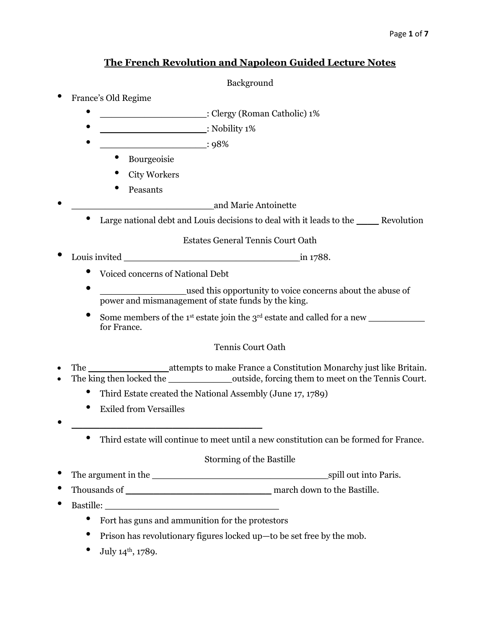# **The French Revolution and Napoleon Guided Lecture Notes**

# Background

- France's Old Regime
	- Clergy (Roman Catholic) 1%
	- \_\_\_\_\_\_\_\_\_\_\_\_\_\_\_\_\_\_\_: Nobility 1%
	- \_\_\_\_\_\_\_\_\_\_\_\_\_\_\_\_\_\_\_: 98%
		- Bourgeoisie
		- City Workers
		- Peasants
			- \_\_\_\_\_\_\_\_\_\_\_\_\_\_\_\_\_\_\_\_\_\_\_\_\_ and Marie Antoinette
	- Large national debt and Louis decisions to deal with it leads to the \_\_\_\_\_\_\_Revolution

Estates General Tennis Court Oath

- Louis invited \_\_\_\_\_\_\_\_\_\_\_\_\_\_\_\_\_\_\_\_\_\_\_\_\_\_\_\_\_\_\_ in 1788.
	- Voiced concerns of National Debt
	- \_\_\_\_\_\_\_\_\_\_\_\_\_\_\_\_\_\_\_\_\_\_\_used this opportunity to voice concerns about the abuse of power and mismanagement of state funds by the king.
	- Some members of the 1st estate join the 3rd estate and called for a new \_\_\_\_\_\_\_\_\_\_ for France.

# Tennis Court Oath

- The **Example 2** attempts to make France a Constitution Monarchy just like Britain.
- The king then locked the \_\_\_\_\_\_\_\_\_\_\_\_\_\_\_\_\_\_\_outside, forcing them to meet on the Tennis Court.
	- Third Estate created the National Assembly (June 17, 1789)
	- Exiled from Versailles
- \_\_\_\_\_\_\_\_\_\_\_\_\_\_\_\_\_\_\_\_\_\_\_\_\_\_\_\_\_\_\_\_\_\_
	- Third estate will continue to meet until a new constitution can be formed for France.

# Storming of the Bastille

- The argument in the \_\_\_\_\_\_\_\_\_\_\_\_\_\_\_\_\_\_\_\_\_\_\_\_\_\_\_\_\_\_\_ spill out into Paris.
- Thousands of  $\qquad \qquad$  march down to the Bastille.
- Bastille:
	- Fort has guns and ammunition for the protestors
	- Prison has revolutionary figures locked up—to be set free by the mob.
	- July  $14^{\text{th}}$ , 1789.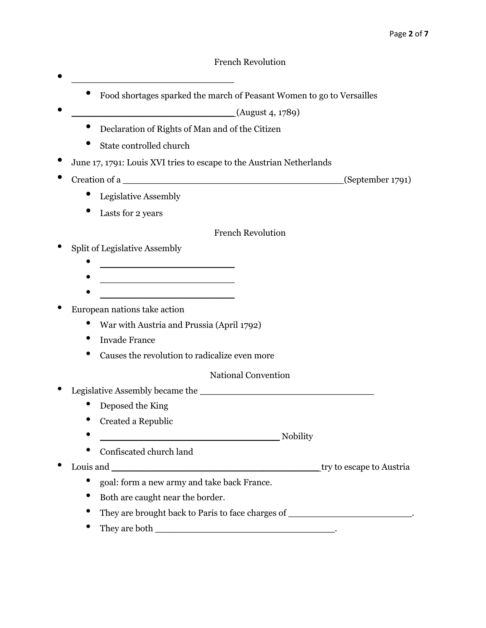- Food shortages sparked the march of Peasant Women to go to Versailles
- $\frac{1}{2}$  (August 4, 1789)
	- Declaration of Rights of Man and of the Citizen
	- State controlled church

 $\bullet$   $\overline{\phantom{a}}$ 

- June 17, 1791: Louis XVI tries to escape to the Austrian Netherlands
- Creation of a  $(September 1791)$ 
	- Legislative Assembly
	- Lasts for 2 years

French Revolution

- Split of Legislative Assembly
	-
	- $\mathcal{L}_\mathcal{P}$  , and the set of the set of the set of the set of the set of the set of the set of the set of the set of the set of the set of the set of the set of the set of the set of the set of the set of the set of th
	- \_\_\_\_\_\_\_\_\_\_\_\_\_\_\_\_\_\_\_\_\_\_\_\_
- European nations take action
	- War with Austria and Prussia (April 1792)
	- Invade France
	- Causes the revolution to radicalize even more

## National Convention

- Legislative Assembly became the \_\_\_\_\_\_\_\_\_\_\_\_\_\_\_\_\_\_\_\_\_\_\_\_\_\_\_\_\_\_\_
	- Deposed the King
	- Created a Republic
	- $\blacksquare$
	- Confiscated church land
- Louis and \_\_\_\_\_\_\_\_\_\_\_\_\_\_\_\_\_\_\_\_\_\_\_\_\_\_\_\_\_\_\_\_\_\_\_\_\_ try to escape to Austria
	- goal: form a new army and take back France.
	- Both are caught near the border.
	- They are brought back to Paris to face charges of \_\_\_\_\_\_\_\_\_\_\_\_\_\_\_\_\_\_\_\_\_\_\_.
	- They are both \_\_\_\_\_\_\_\_\_\_\_\_\_\_\_\_\_\_\_\_\_\_\_\_\_\_\_\_\_\_\_\_.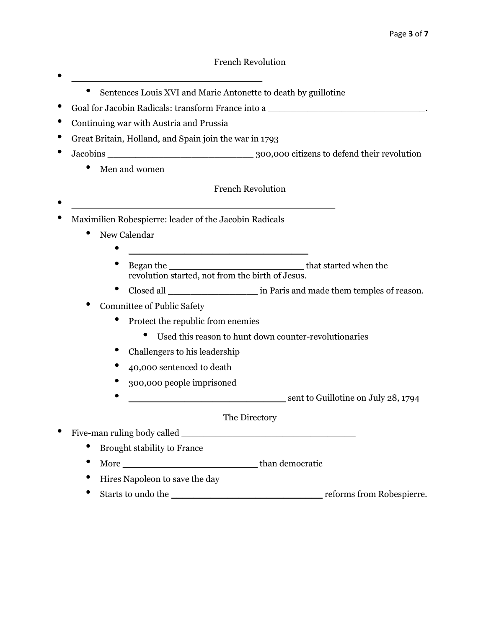## French Revolution

- Sentences Louis XVI and Marie Antonette to death by guillotine
- Goal for Jacobin Radicals: transform France into a \_\_\_\_\_\_\_\_\_\_\_\_\_\_\_\_\_\_\_\_\_\_\_\_\_\_\_\_.

• \_\_\_\_\_\_\_\_\_\_\_\_\_\_\_\_\_\_\_\_\_\_\_\_\_\_\_\_\_\_\_\_\_\_

- Continuing war with Austria and Prussia
- Great Britain, Holland, and Spain join the war in 1793
- Jacobins Jacobins 300,000 citizens to defend their revolution
	- Men and women
- French Revolution
- Maximilien Robespierre: leader of the Jacobin Radicals
	- New Calendar
		- \_\_\_\_\_\_\_\_\_\_\_\_\_\_\_\_\_\_\_\_\_\_\_\_\_\_\_\_\_\_\_\_ • Began the \_\_\_\_\_\_\_\_\_\_\_\_\_\_\_\_\_\_\_\_\_\_\_\_ that started when the
			- revolution started, not from the birth of Jesus.
		- Closed all \_\_\_\_\_\_\_\_\_\_\_\_\_\_\_\_\_\_\_\_\_\_\_ in Paris and made them temples of reason.
	- Committee of Public Safety
		- Protect the republic from enemies
			- Used this reason to hunt down counter-revolutionaries
		- Challengers to his leadership
		- 40,000 sentenced to death
		- 300,000 people imprisoned
		- ent to Guillotine on July 28, 1794

The Directory

Five-man ruling body called

- Brought stability to France
- More
- Hires Napoleon to save the day
- Starts to undo the reforms from Robespierre.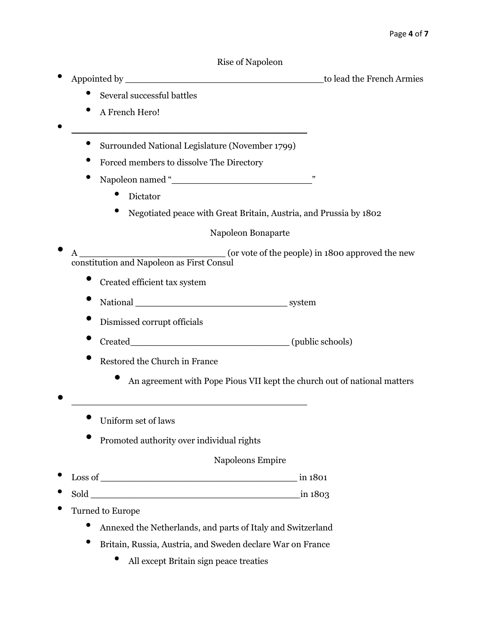#### Rise of Napoleon

• Appointed by \_\_\_\_\_\_\_\_\_\_\_\_\_\_\_\_\_\_\_\_\_\_\_\_\_\_\_\_\_\_\_\_\_\_\_ to lead the French Armies

- Several successful battles
- A French Hero!
- \_\_\_\_\_\_\_\_\_\_\_\_\_\_\_\_\_\_\_\_\_\_\_\_\_\_\_\_\_\_\_\_\_\_\_\_\_\_\_\_\_\_ • Surrounded National Legislature (November 1799)
	- Forced members to dissolve The Directory
	- Napoleon named "\_\_\_\_\_\_\_\_\_\_\_\_\_\_\_\_\_\_\_\_\_\_\_\_\_"
		- Dictator
		- Negotiated peace with Great Britain, Austria, and Prussia by 1802

## Napoleon Bonaparte

A constitution and Napoleon as First Consul

- Created efficient tax system
- National \_\_\_\_\_\_\_\_\_\_\_\_\_\_\_\_\_\_\_\_\_\_\_\_\_\_\_ system
- Dismissed corrupt officials
- Created \_\_\_\_\_\_\_\_\_\_\_\_\_\_\_\_\_\_\_\_\_\_\_\_\_\_\_\_ (public schools)
- Restored the Church in France
	- An agreement with Pope Pious VII kept the church out of national matters
- Uniform set of laws
	- Promoted authority over individual rights

• \_\_\_\_\_\_\_\_\_\_\_\_\_\_\_\_\_\_\_\_\_\_\_\_\_\_\_\_\_\_\_\_\_\_\_\_\_\_\_\_\_\_

## Napoleons Empire

- Loss of \_\_\_\_\_\_\_\_\_\_\_\_\_\_\_\_\_\_\_\_\_\_\_\_\_\_\_\_\_\_\_\_\_\_\_ in 1801
- $\text{Sold}$   $\text{in } 1803$
- Turned to Europe
	- Annexed the Netherlands, and parts of Italy and Switzerland
	- Britain, Russia, Austria, and Sweden declare War on France
		- All except Britain sign peace treaties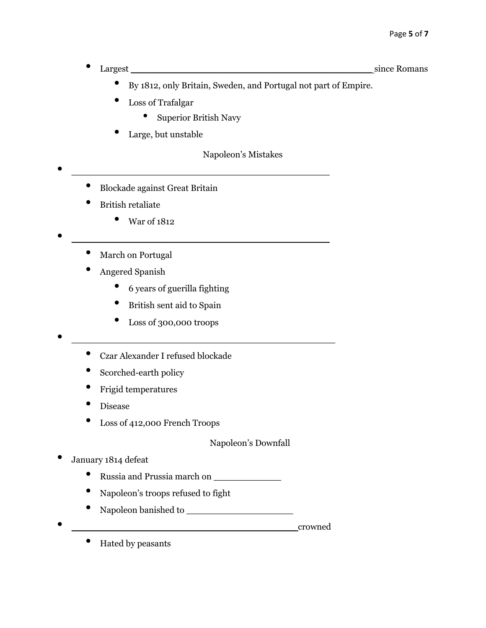• Largest \_\_\_\_\_\_\_\_\_\_\_\_\_\_\_\_\_\_\_\_\_\_\_\_\_\_\_\_\_\_\_\_\_\_\_\_\_\_\_\_\_\_\_ since Romans

- By 1812, only Britain, Sweden, and Portugal not part of Empire.
- Loss of Trafalgar
	- Superior British Navy

• \_\_\_\_\_\_\_\_\_\_\_\_\_\_\_\_\_\_\_\_\_\_\_\_\_\_\_\_\_\_\_\_\_\_\_\_\_\_\_\_\_\_\_\_\_\_

Large, but unstable

## Napoleon's Mistakes

- Blockade against Great Britain
- British retaliate
	- War of 1812
- \_\_\_\_\_\_\_\_\_\_\_\_\_\_\_\_\_\_\_\_\_\_\_\_\_\_\_\_\_\_\_\_\_\_\_\_\_\_\_\_\_\_\_\_\_\_
	- March on Portugal
	- Angered Spanish
		- 6 years of guerilla fighting
		- British sent aid to Spain
		- Loss of 300,000 troops
- \_\_\_\_\_\_\_\_\_\_\_\_\_\_\_\_\_\_\_\_\_\_\_\_\_\_\_\_\_\_\_\_\_\_\_\_\_\_\_\_\_\_\_\_\_\_\_
	- Czar Alexander I refused blockade
	- Scorched-earth policy
	- Frigid temperatures
	- Disease
	- Loss of 412,000 French Troops

Napoleon's Downfall

- January 1814 defeat
	- Russia and Prussia march on \_\_\_\_\_\_\_\_\_\_\_\_
	- Napoleon's troops refused to fight
	- Napoleon banished to \_\_\_\_\_\_\_\_\_\_\_\_\_\_\_\_\_\_\_
- 

 $\rm{crowned}$ 

• Hated by peasants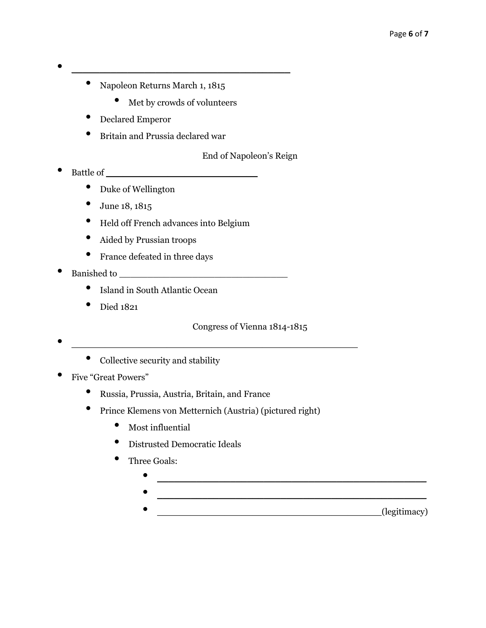# • \_\_\_\_\_\_\_\_\_\_\_\_\_\_\_\_\_\_\_\_\_\_\_\_\_\_\_\_\_\_\_\_\_\_\_\_\_\_\_

- Napoleon Returns March 1, 1815
	- Met by crowds of volunteers
- Declared Emperor
- Britain and Prussia declared war

End of Napoleon's Reign

- Battle of  $\qquad \qquad$ 
	- Duke of Wellington
	- June 18, 1815
	- Held off French advances into Belgium
	- Aided by Prussian troops
	- France defeated in three days
- Banished to  $\blacksquare$ 
	- Island in South Atlantic Ocean
	- Died 1821

Congress of Vienna 1814-1815

 $\bullet$   $\overline{\phantom{a}}$   $\overline{\phantom{a}}$   $\overline{\phantom{a}}$   $\overline{\phantom{a}}$   $\overline{\phantom{a}}$   $\overline{\phantom{a}}$   $\overline{\phantom{a}}$   $\overline{\phantom{a}}$   $\overline{\phantom{a}}$   $\overline{\phantom{a}}$   $\overline{\phantom{a}}$   $\overline{\phantom{a}}$   $\overline{\phantom{a}}$   $\overline{\phantom{a}}$   $\overline{\phantom{a}}$   $\overline{\phantom{a}}$   $\overline{\phantom{a}}$   $\overline{\phantom{a}}$ 

• Collective security and stability

- Five "Great Powers"
	- Russia, Prussia, Austria, Britain, and France
	- Prince Klemens von Metternich (Austria) (pictured right)
		- Most influential
		- Distrusted Democratic Ideals
		- Three Goals:
			- $\bullet$  . The contract of the contract of the contract of the contract of the contract of the contract of the contract of the contract of the contract of the contract of the contract of the contract of the contract of the co  $\; \; \; \; \; \; \; \; \; \; \; \; \; \; \; \; \; \; \; \; \; \; \; \; \; \; \; \; \; \; \; \; \; \; \; \; \; -$ 
				- \_\_\_\_\_\_\_\_\_\_\_\_\_\_\_\_\_\_\_\_\_\_\_\_\_\_\_\_\_\_\_\_\_\_\_\_\_\_\_\_(legitimacy)